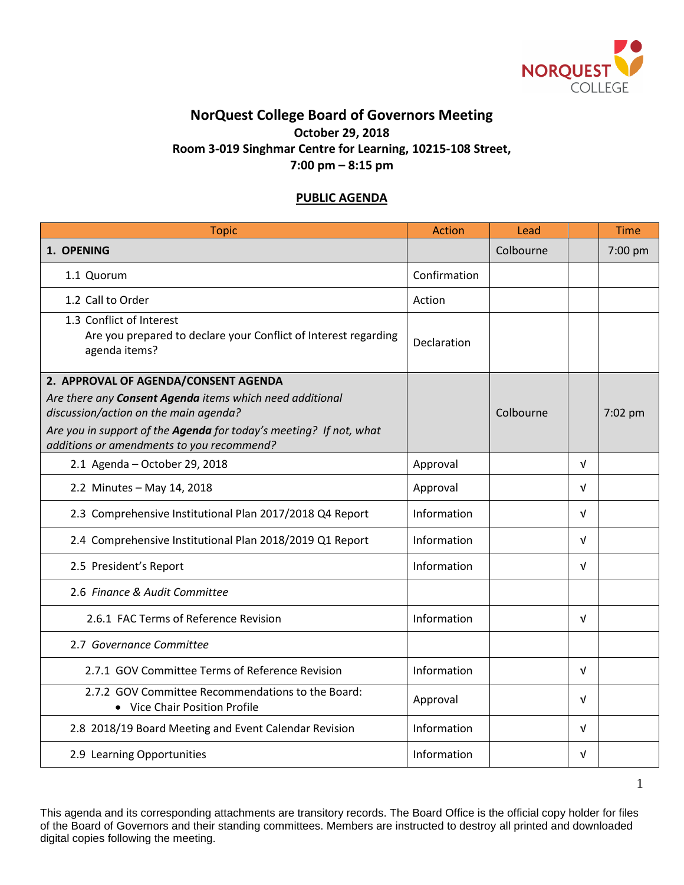

## **NorQuest College Board of Governors Meeting October 29, 2018 Room 3-019 Singhmar Centre for Learning, 10215-108 Street, 7:00 pm – 8:15 pm**

## **PUBLIC AGENDA**

| <b>Topic</b>                                                                                                                                                            | <b>Action</b> | Lead      |            | <b>Time</b> |
|-------------------------------------------------------------------------------------------------------------------------------------------------------------------------|---------------|-----------|------------|-------------|
| 1. OPENING                                                                                                                                                              |               | Colbourne |            | 7:00 pm     |
| 1.1 Quorum                                                                                                                                                              | Confirmation  |           |            |             |
| 1.2 Call to Order                                                                                                                                                       | Action        |           |            |             |
| 1.3 Conflict of Interest<br>Are you prepared to declare your Conflict of Interest regarding<br>agenda items?                                                            | Declaration   |           |            |             |
| 2. APPROVAL OF AGENDA/CONSENT AGENDA                                                                                                                                    |               |           |            |             |
| Are there any Consent Agenda items which need additional<br>discussion/action on the main agenda?<br>Are you in support of the Agenda for today's meeting? If not, what |               | Colbourne |            | 7:02 pm     |
| additions or amendments to you recommend?                                                                                                                               |               |           |            |             |
| 2.1 Agenda - October 29, 2018                                                                                                                                           | Approval      |           | V          |             |
| 2.2 Minutes - May 14, 2018                                                                                                                                              | Approval      |           | $\sqrt{ }$ |             |
| 2.3 Comprehensive Institutional Plan 2017/2018 Q4 Report                                                                                                                | Information   |           | V          |             |
| 2.4 Comprehensive Institutional Plan 2018/2019 Q1 Report                                                                                                                | Information   |           | $\sqrt{ }$ |             |
| 2.5 President's Report                                                                                                                                                  | Information   |           | $\sqrt{ }$ |             |
| 2.6 Finance & Audit Committee                                                                                                                                           |               |           |            |             |
| 2.6.1 FAC Terms of Reference Revision                                                                                                                                   | Information   |           | $\sqrt{ }$ |             |
| 2.7 Governance Committee                                                                                                                                                |               |           |            |             |
| 2.7.1 GOV Committee Terms of Reference Revision                                                                                                                         | Information   |           | $\sqrt{ }$ |             |
| 2.7.2 GOV Committee Recommendations to the Board:<br>• Vice Chair Position Profile                                                                                      | Approval      |           | $\sqrt{ }$ |             |
| 2.8 2018/19 Board Meeting and Event Calendar Revision                                                                                                                   | Information   |           | $\sqrt{ }$ |             |
| 2.9 Learning Opportunities                                                                                                                                              | Information   |           | V          |             |

This agenda and its corresponding attachments are transitory records. The Board Office is the official copy holder for files of the Board of Governors and their standing committees. Members are instructed to destroy all printed and downloaded digital copies following the meeting.

1